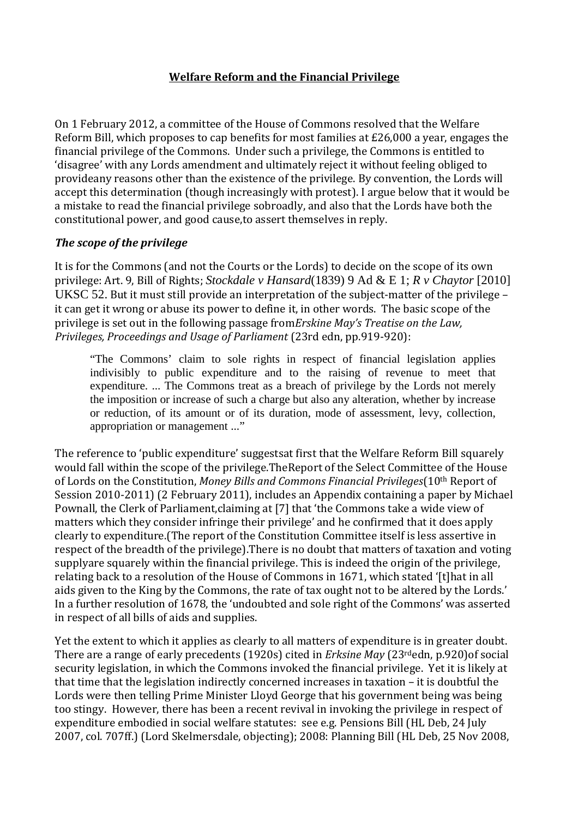# **Welfare Reform and the Financial Privilege**

On 1 February 2012, a committee of the House of Commons resolved that the Welfare Reform Bill, which proposes to cap benefits for most families at £26,000 a year, engages the financial privilege of the Commons. Under such a privilege, the Commons is entitled to 'disagree' with any Lords amendment and ultimately reject it without feeling obliged to provideany reasons other than the existence of the privilege. By convention, the Lords will accept this determination (though increasingly with protest). I argue below that it would be a mistake to read the financial privilege sobroadly, and also that the Lords have both the constitutional power, and good cause,to assert themselves in reply.

# *The scope of the privilege*

It is for the Commons (and not the Courts or the Lords) to decide on the scope of its own privilege: Art. 9, Bill of Rights; *Stockdale v Hansard*(1839) 9 Ad & E 1; *R v Chaytor* [2010] UKSC 52. But it must still provide an interpretation of the subject-matter of the privilege – it can get it wrong or abuse its power to define it, in other words. The basic scope of the privilege is set out in the following passage from*Erskine May's Treatise on the Law, Privileges, Proceedings and Usage of Parliament* (23rd edn, pp.919-920):

"The Commons' claim to sole rights in respect of financial legislation applies indivisibly to public expenditure and to the raising of revenue to meet that expenditure. ... The Commons treat as a breach of privilege by the Lords not merely the imposition or increase of such a charge but also any alteration, whether by increase or reduction, of its amount or of its duration, mode of assessment, levy, collection, appropriation or management ..."

The reference to 'public expenditure' suggestsat first that the Welfare Reform Bill squarely would fall within the scope of the privilege.TheReport of the Select Committee of the House of Lords on the Constitution, *Money Bills and Commons Financial Privileges*(10th Report of Session 2010-2011) (2 February 2011), includes an Appendix containing a paper by Michael Pownall, the Clerk of Parliament,claiming at [7] that 'the Commons take a wide view of matters which they consider infringe their privilege' and he confirmed that it does apply clearly to expenditure.(The report of the Constitution Committee itself is less assertive in respect of the breadth of the privilege).There is no doubt that matters of taxation and voting supplyare squarely within the financial privilege. This is indeed the origin of the privilege, relating back to a resolution of the House of Commons in 1671, which stated '[t]hat in all aids given to the King by the Commons, the rate of tax ought not to be altered by the Lords.' In a further resolution of 1678, the 'undoubted and sole right of the Commons' was asserted in respect of all bills of aids and supplies.

Yet the extent to which it applies as clearly to all matters of expenditure is in greater doubt. There are a range of early precedents (1920s) cited in *Erksine May* (23rdedn, p.920)of social security legislation, in which the Commons invoked the financial privilege. Yet it is likely at that time that the legislation indirectly concerned increases in taxation – it is doubtful the Lords were then telling Prime Minister Lloyd George that his government being was being too stingy. However, there has been a recent revival in invoking the privilege in respect of expenditure embodied in social welfare statutes: see e.g. Pensions Bill (HL Deb, 24 July 2007, col. 707ff.) (Lord Skelmersdale, objecting); 2008: Planning Bill (HL Deb, 25 Nov 2008,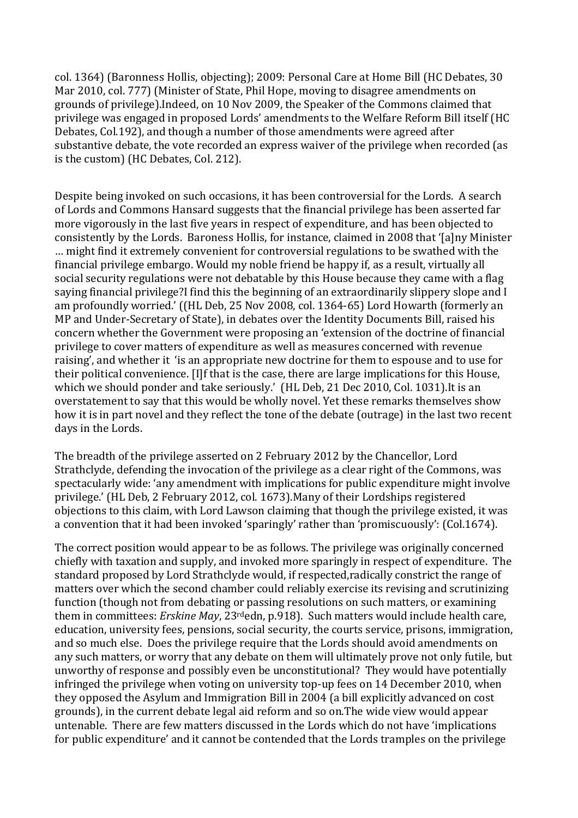col. 1364) (Baronness Hollis, objecting); 2009: Personal Care at Home Bill (HC Debates, 30 Mar 2010, col. 777) (Minister of State, Phil Hope, moving to disagree amendments on grounds of privilege).Indeed, on 10 Nov 2009, the Speaker of the Commons claimed that privilege was engaged in proposed Lords' amendments to the Welfare Reform Bill itself (HC Debates, Col.192), and though a number of those amendments were agreed after substantive debate, the vote recorded an express waiver of the privilege when recorded (as is the custom) (HC Debates, Col. 212).

Despite being invoked on such occasions, it has been controversial for the Lords. A search of Lords and Commons Hansard suggests that the financial privilege has been asserted far more vigorously in the last five years in respect of expenditure, and has been objected to consistently by the Lords. Baroness Hollis, for instance, claimed in 2008 that '[a]ny Minister … might find it extremely convenient for controversial regulations to be swathed with the financial privilege embargo. Would my noble friend be happy if, as a result, virtually all social security regulations were not debatable by this House because they came with a flag saying financial privilege?I find this the beginning of an extraordinarily slippery slope and I am profoundly worried.' ((HL Deb, 25 Nov 2008, col. 1364-65) Lord Howarth (formerly an MP and Under-Secretary of State), in debates over the Identity Documents Bill, raised his concern whether the Government were proposing an 'extension of the doctrine of financial privilege to cover matters of expenditure as well as measures concerned with revenue raising', and whether it 'is an appropriate new doctrine for them to espouse and to use for their political convenience. [I]f that is the case, there are large implications for this House, which we should ponder and take seriously.' (HL Deb, 21 Dec 2010, Col. 1031).It is an overstatement to say that this would be wholly novel. Yet these remarks themselves show how it is in part novel and they reflect the tone of the debate (outrage) in the last two recent days in the Lords.

The breadth of the privilege asserted on 2 February 2012 by the Chancellor, Lord Strathclyde, defending the invocation of the privilege as a clear right of the Commons, was spectacularly wide: 'any amendment with implications for public expenditure might involve privilege.' (HL Deb, 2 February 2012, col. 1673).Many of their Lordships registered objections to this claim, with Lord Lawson claiming that though the privilege existed, it was a convention that it had been invoked 'sparingly' rather than 'promiscuously': (Col.1674).

The correct position would appear to be as follows. The privilege was originally concerned chiefly with taxation and supply, and invoked more sparingly in respect of expenditure. The standard proposed by Lord Strathclyde would, if respected,radically constrict the range of matters over which the second chamber could reliably exercise its revising and scrutinizing function (though not from debating or passing resolutions on such matters, or examining them in committees: *Erskine May*, 23rdedn, p.918). Such matters would include health care, education, university fees, pensions, social security, the courts service, prisons, immigration, and so much else. Does the privilege require that the Lords should avoid amendments on any such matters, or worry that any debate on them will ultimately prove not only futile, but unworthy of response and possibly even be unconstitutional? They would have potentially infringed the privilege when voting on university top-up fees on 14 December 2010, when they opposed the Asylum and Immigration Bill in 2004 (a bill explicitly advanced on cost grounds), in the current debate legal aid reform and so on.The wide view would appear untenable. There are few matters discussed in the Lords which do not have 'implications for public expenditure' and it cannot be contended that the Lords tramples on the privilege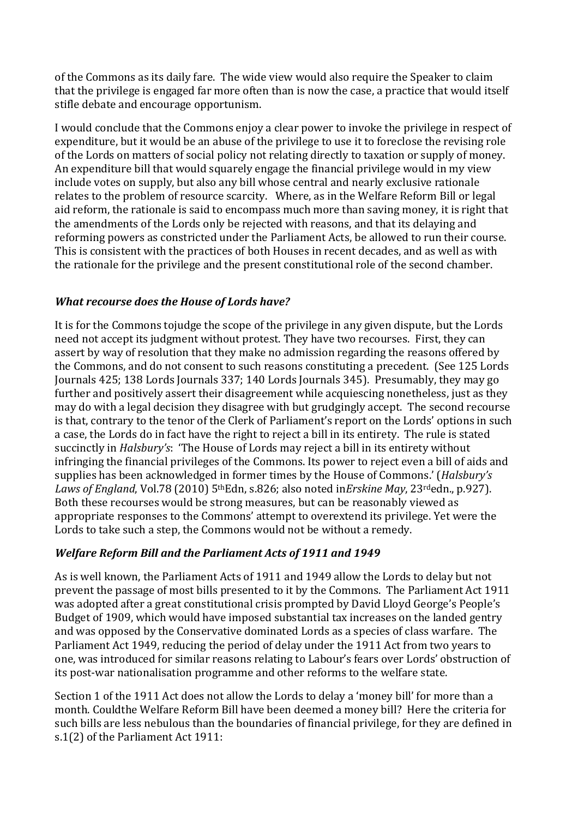of the Commons as its daily fare. The wide view would also require the Speaker to claim that the privilege is engaged far more often than is now the case, a practice that would itself stifle debate and encourage opportunism.

I would conclude that the Commons enjoy a clear power to invoke the privilege in respect of expenditure, but it would be an abuse of the privilege to use it to foreclose the revising role of the Lords on matters of social policy not relating directly to taxation or supply of money. An expenditure bill that would squarely engage the financial privilege would in my view include votes on supply, but also any bill whose central and nearly exclusive rationale relates to the problem of resource scarcity. Where, as in the Welfare Reform Bill or legal aid reform, the rationale is said to encompass much more than saving money, it is right that the amendments of the Lords only be rejected with reasons, and that its delaying and reforming powers as constricted under the Parliament Acts, be allowed to run their course. This is consistent with the practices of both Houses in recent decades, and as well as with the rationale for the privilege and the present constitutional role of the second chamber.

# *What recourse does the House of Lords have?*

It is for the Commons tojudge the scope of the privilege in any given dispute, but the Lords need not accept its judgment without protest. They have two recourses. First, they can assert by way of resolution that they make no admission regarding the reasons offered by the Commons, and do not consent to such reasons constituting a precedent. (See 125 Lords Journals 425; 138 Lords Journals 337; 140 Lords Journals 345). Presumably, they may go further and positively assert their disagreement while acquiescing nonetheless, just as they may do with a legal decision they disagree with but grudgingly accept. The second recourse is that, contrary to the tenor of the Clerk of Parliament's report on the Lords' options in such a case, the Lords do in fact have the right to reject a bill in its entirety. The rule is stated succinctly in *Halsbury's*: 'The House of Lords may reject a bill in its entirety without infringing the financial privileges of the Commons. Its power to reject even a bill of aids and supplies has been acknowledged in former times by the House of Commons.' (*Halsbury's Laws of England*, Vol.78 (2010) 5thEdn, s.826; also noted in*Erskine May*, 23rdedn., p.927). Both these recourses would be strong measures, but can be reasonably viewed as appropriate responses to the Commons' attempt to overextend its privilege. Yet were the Lords to take such a step, the Commons would not be without a remedy.

# *Welfare Reform Bill and the Parliament Acts of 1911 and 1949*

As is well known, the Parliament Acts of 1911 and 1949 allow the Lords to delay but not prevent the passage of most bills presented to it by the Commons. The Parliament Act 1911 was adopted after a great constitutional crisis prompted by David Lloyd George's People's Budget of 1909, which would have imposed substantial tax increases on the landed gentry and was opposed by the Conservative dominated Lords as a species of class warfare. The Parliament Act 1949, reducing the period of delay under the 1911 Act from two years to one, was introduced for similar reasons relating to Labour's fears over Lords' obstruction of its post-war nationalisation programme and other reforms to the welfare state.

Section 1 of the 1911 Act does not allow the Lords to delay a 'money bill' for more than a month. Couldthe Welfare Reform Bill have been deemed a money bill? Here the criteria for such bills are less nebulous than the boundaries of financial privilege, for they are defined in s.1(2) of the Parliament Act 1911: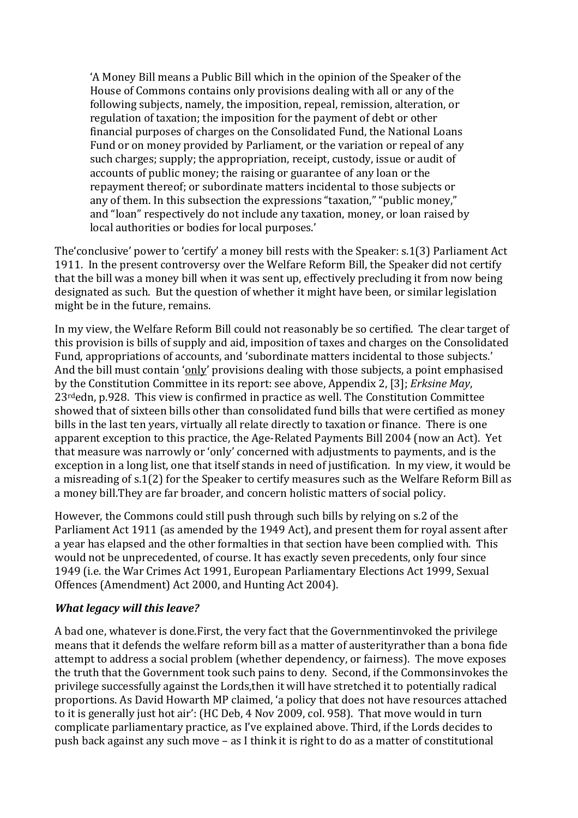'A Money Bill means a Public Bill which in the opinion of the Speaker of the House of Commons contains only provisions dealing with all or any of the following subjects, namely, the imposition, repeal, remission, alteration, or regulation of taxation; the imposition for the payment of debt or other financial purposes of charges on the Consolidated Fund, the National Loans Fund or on money provided by Parliament, or the variation or repeal of any such charges; supply; the appropriation, receipt, custody, issue or audit of accounts of public money; the raising or guarantee of any loan or the repayment thereof; or subordinate matters incidental to those subjects or any of them. In this subsection the expressions "taxation," "public money," and "loan" respectively do not include any taxation, money, or loan raised by local authorities or bodies for local purposes.'

The'conclusive' power to 'certify' a money bill rests with the Speaker: s.1(3) Parliament Act 1911. In the present controversy over the Welfare Reform Bill, the Speaker did not certify that the bill was a money bill when it was sent up, effectively precluding it from now being designated as such. But the question of whether it might have been, or similar legislation might be in the future, remains.

In my view, the Welfare Reform Bill could not reasonably be so certified. The clear target of this provision is bills of supply and aid, imposition of taxes and charges on the Consolidated Fund, appropriations of accounts, and 'subordinate matters incidental to those subjects.' And the bill must contain 'only' provisions dealing with those subjects, a point emphasised by the Constitution Committee in its report: see above, Appendix 2, [3]; *Erksine May*, 23rdedn, p.928. This view is confirmed in practice as well. The Constitution Committee showed that of sixteen bills other than consolidated fund bills that were certified as money bills in the last ten years, virtually all relate directly to taxation or finance. There is one apparent exception to this practice, the Age-Related Payments Bill 2004 (now an Act). Yet that measure was narrowly or 'only' concerned with adjustments to payments, and is the exception in a long list, one that itself stands in need of justification. In my view, it would be a misreading of s.1(2) for the Speaker to certify measures such as the Welfare Reform Bill as a money bill.They are far broader, and concern holistic matters of social policy.

However, the Commons could still push through such bills by relying on s.2 of the Parliament Act 1911 (as amended by the 1949 Act), and present them for royal assent after a year has elapsed and the other formalties in that section have been complied with. This would not be unprecedented, of course. It has exactly seven precedents, only four since 1949 (i.e. the War Crimes Act 1991, European Parliamentary Elections Act 1999, Sexual Offences (Amendment) Act 2000, and Hunting Act 2004).

# *What legacy will this leave?*

A bad one, whatever is done.First, the very fact that the Governmentinvoked the privilege means that it defends the welfare reform bill as a matter of austerityrather than a bona fide attempt to address a social problem (whether dependency, or fairness). The move exposes the truth that the Government took such pains to deny. Second, if the Commonsinvokes the privilege successfully against the Lords,then it will have stretched it to potentially radical proportions. As David Howarth MP claimed, 'a policy that does not have resources attached to it is generally just hot air': (HC Deb, 4 Nov 2009, col. 958). That move would in turn complicate parliamentary practice, as I've explained above. Third, if the Lords decides to push back against any such move – as I think it is right to do as a matter of constitutional